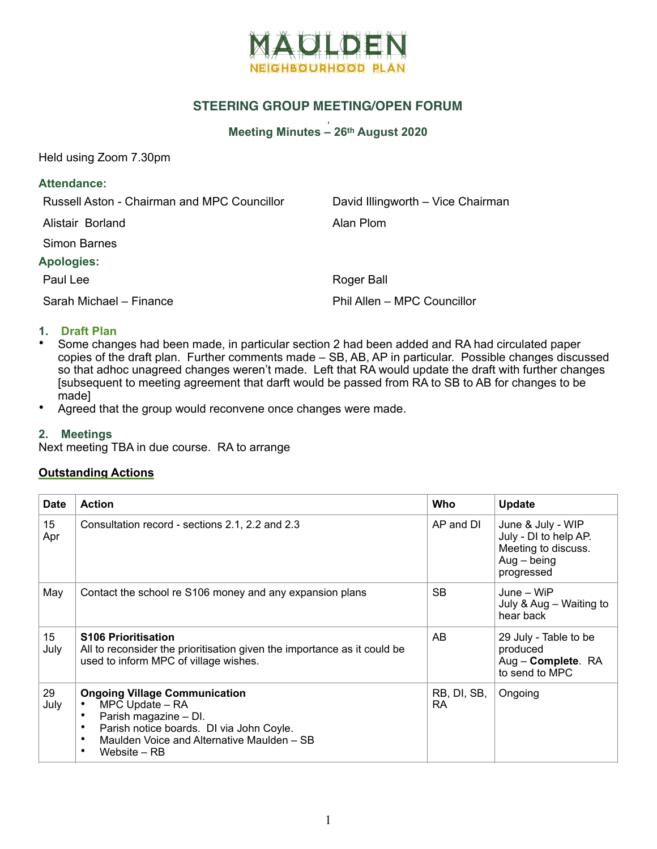

# **STEERING GROUP MEETING/OPEN FORUM**

#### , **Meeting Minutes – 26th August 2020**

Held using Zoom 7.30pm

#### **Attendance:**

Russell Aston - Chairman and MPC Councillor David Illingworth – Vice Chairman

Alistair Borland **Alistair Borland** 

Simon Barnes

#### **Apologies:**

Sarah Michael – Finance Phil Allen – MPC Councillor

Paul Lee Roger Ball

## **1. Draft Plan**

- Some changes had been made, in particular section 2 had been added and RA had circulated paper copies of the draft plan. Further comments made – SB, AB, AP in particular. Possible changes discussed so that adhoc unagreed changes weren't made. Left that RA would update the draft with further changes [subsequent to meeting agreement that darft would be passed from RA to SB to AB for changes to be made]
- Agreed that the group would reconvene once changes were made.

### **2. Meetings**

Next meeting TBA in due course. RA to arrange

### **Outstanding Actions**

| <b>Date</b> | <b>Action</b>                                                                                                                                                                                             | Who                      | <b>Update</b>                                                                                    |
|-------------|-----------------------------------------------------------------------------------------------------------------------------------------------------------------------------------------------------------|--------------------------|--------------------------------------------------------------------------------------------------|
| 15<br>Apr   | Consultation record - sections 2.1, 2.2 and 2.3                                                                                                                                                           | AP and DI                | June & July - WIP<br>July - DI to help AP.<br>Meeting to discuss.<br>$Aug - being$<br>progressed |
| May         | Contact the school re S106 money and any expansion plans                                                                                                                                                  | <b>SB</b>                | June – WiP<br>July & Aug - Waiting to<br>hear back                                               |
| 15<br>July  | <b>S106 Prioritisation</b><br>All to reconsider the prioritisation given the importance as it could be<br>used to inform MPC of village wishes.                                                           | AB.                      | 29 July - Table to be<br>produced<br>Aug - Complete. RA<br>to send to MPC                        |
| 29<br>July  | <b>Ongoing Village Communication</b><br>MPC Update - RA<br>Parish magazine - DI.<br>Parish notice boards. DI via John Coyle.<br>٠<br>Maulden Voice and Alternative Maulden - SB<br>٠<br>Website – RB<br>٠ | RB, DI, SB,<br><b>RA</b> | Ongoing                                                                                          |